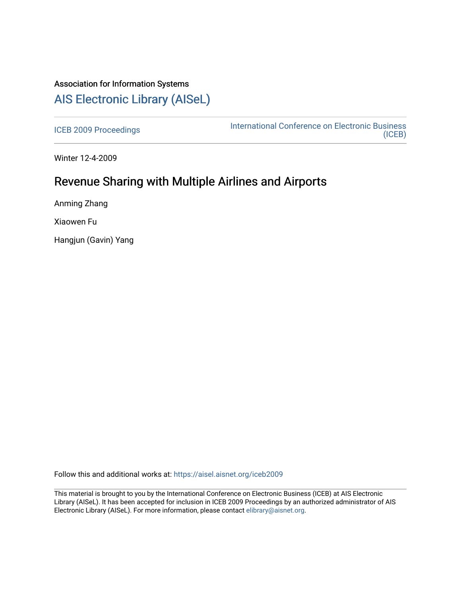# Association for Information Systems [AIS Electronic Library \(AISeL\)](https://aisel.aisnet.org/)

[ICEB 2009 Proceedings](https://aisel.aisnet.org/iceb2009) **International Conference on Electronic Business** [\(ICEB\)](https://aisel.aisnet.org/iceb) 

Winter 12-4-2009

# Revenue Sharing with Multiple Airlines and Airports

Anming Zhang

Xiaowen Fu

Hangjun (Gavin) Yang

Follow this and additional works at: [https://aisel.aisnet.org/iceb2009](https://aisel.aisnet.org/iceb2009?utm_source=aisel.aisnet.org%2Ficeb2009%2F156&utm_medium=PDF&utm_campaign=PDFCoverPages)

This material is brought to you by the International Conference on Electronic Business (ICEB) at AIS Electronic Library (AISeL). It has been accepted for inclusion in ICEB 2009 Proceedings by an authorized administrator of AIS Electronic Library (AISeL). For more information, please contact [elibrary@aisnet.org.](mailto:elibrary@aisnet.org%3E)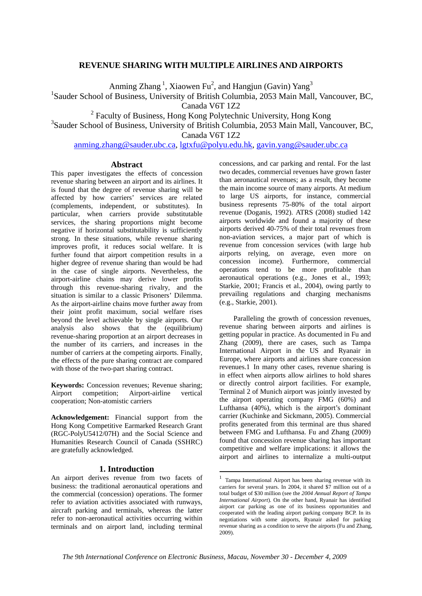# **REVENUE SHARING WITH MULTIPLE AIRLINES AND AIRPORTS**

Anming Zhang<sup>1</sup>, Xiaowen Fu<sup>2</sup>, and Hangjun (Gavin) Yang<sup>3</sup>

<sup>1</sup>Sauder School of Business, University of British Columbia, 2053 Main Mall, Vancouver, BC,

Canada V6T 1Z2

<sup>2</sup> Faculty of Business, Hong Kong Polytechnic University, Hong Kong

3 Sauder School of Business, University of British Columbia, 2053 Main Mall, Vancouver, BC,

Canada V6T 1Z2

anming.zhang@sauder.ubc.ca, lgtxfu@polyu.edu.hk, gavin.yang@sauder.ubc.ca

## **Abstract**

This paper investigates the effects of concession revenue sharing between an airport and its airlines. It is found that the degree of revenue sharing will be affected by how carriers' services are related (complements, independent, or substitutes). In particular, when carriers provide substitutable services, the sharing proportions might become negative if horizontal substitutability is sufficiently strong. In these situations, while revenue sharing improves profit, it reduces social welfare. It is further found that airport competition results in a higher degree of revenue sharing than would be had in the case of single airports. Nevertheless, the airport-airline chains may derive lower profits through this revenue-sharing rivalry, and the situation is similar to a classic Prisoners' Dilemma. As the airport-airline chains move further away from their joint profit maximum, social welfare rises beyond the level achievable by single airports. Our analysis also shows that the (equilibrium) revenue-sharing proportion at an airport decreases in the number of its carriers, and increases in the number of carriers at the competing airports. Finally, the effects of the pure sharing contract are compared with those of the two-part sharing contract.

**Keywords:** Concession revenues; Revenue sharing; Airport competition; Airport-airline vertical cooperation; Non-atomistic carriers

**Acknowledgement:** Financial support from the Hong Kong Competitive Earmarked Research Grant (RGC-PolyU5412/07H) and the Social Science and Humanities Research Council of Canada (SSHRC) are gratefully acknowledged.

# **1. Introduction**

An airport derives revenue from two facets of business: the traditional aeronautical operations and the commercial (concession) operations. The former refer to aviation activities associated with runways, aircraft parking and terminals, whereas the latter refer to non-aeronautical activities occurring within terminals and on airport land, including terminal

concessions, and car parking and rental. For the last two decades, commercial revenues have grown faster than aeronautical revenues; as a result, they become the main income source of many airports. At medium to large US airports, for instance, commercial business represents 75-80% of the total airport revenue (Doganis, 1992). ATRS (2008) studied 142 airports worldwide and found a majority of these airports derived 40-75% of their total revenues from non-aviation services, a major part of which is revenue from concession services (with large hub airports relying, on average, even more on concession income). Furthermore, commercial operations tend to be more profitable than aeronautical operations (e.g., Jones et al., 1993; Starkie, 2001; Francis et al., 2004), owing partly to prevailing regulations and charging mechanisms (e.g., Starkie, 2001).

Paralleling the growth of concession revenues, revenue sharing between airports and airlines is getting popular in practice. As documented in Fu and Zhang (2009), there are cases, such as Tampa International Airport in the US and Ryanair in Europe, where airports and airlines share concession revenues.1 In many other cases, revenue sharing is in effect when airports allow airlines to hold shares or directly control airport facilities. For example, Terminal 2 of Munich airport was jointly invested by the airport operating company FMG (60%) and Lufthansa (40%), which is the airport's dominant carrier (Kuchinke and Sickmann, 2005). Commercial profits generated from this terminal are thus shared between FMG and Lufthansa. Fu and Zhang (2009) found that concession revenue sharing has important competitive and welfare implications: it allows the airport and airlines to internalize a multi-output

<u>.</u>

<sup>1</sup> Tampa International Airport has been sharing revenue with its carriers for several years. In 2004, it shared \$7 million out of a total budget of \$30 million (see the *2004 Annual Report of Tampa International Airport*). On the other hand, Ryanair has identified airport car parking as one of its business opportunities and cooperated with the leading airport parking company BCP. In its negotiations with some airports, Ryanair asked for parking revenue sharing as a condition to serve the airports (Fu and Zhang, 2009).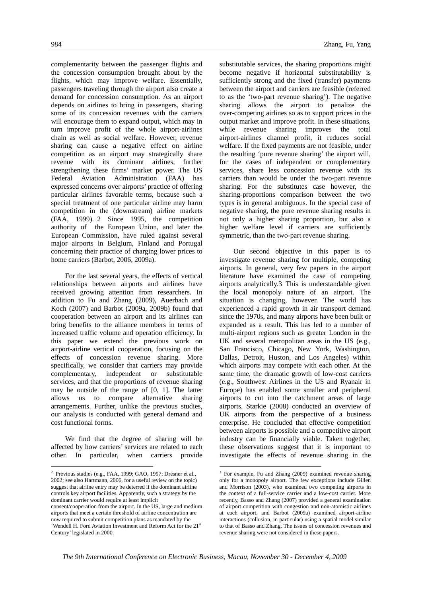complementarity between the passenger flights and the concession consumption brought about by the flights, which may improve welfare. Essentially, passengers traveling through the airport also create a demand for concession consumption. As an airport depends on airlines to bring in passengers, sharing some of its concession revenues with the carriers will encourage them to expand output, which may in turn improve profit of the whole airport-airlines chain as well as social welfare. However, revenue sharing can cause a negative effect on airline competition as an airport may strategically share revenue with its dominant airlines, further strengthening these firms' market power. The US Federal Aviation Administration (FAA) has expressed concerns over airports' practice of offering particular airlines favorable terms, because such a special treatment of one particular airline may harm competition in the (downstream) airline markets (FAA, 1999). 2 Since 1995, the competition authority of the European Union, and later the European Commission, have ruled against several major airports in Belgium, Finland and Portugal concerning their practice of charging lower prices to home carriers (Barbot, 2006, 2009a).

For the last several years, the effects of vertical relationships between airports and airlines have received growing attention from researchers. In addition to Fu and Zhang (2009), Auerbach and Koch (2007) and Barbot (2009a, 2009b) found that cooperation between an airport and its airlines can bring benefits to the alliance members in terms of increased traffic volume and operation efficiency. In this paper we extend the previous work on airport-airline vertical cooperation, focusing on the effects of concession revenue sharing. More specifically, we consider that carriers may provide complementary, independent or substitutable services, and that the proportions of revenue sharing may be outside of the range of [0, 1]. The latter allows us to compare alternative sharing arrangements. Further, unlike the previous studies, our analysis is conducted with general demand and cost functional forms.

We find that the degree of sharing will be affected by how carriers' services are related to each other. In particular, when carriers provide

1

substitutable services, the sharing proportions might become negative if horizontal substitutability is sufficiently strong and the fixed (transfer) payments between the airport and carriers are feasible (referred to as the 'two-part revenue sharing'). The negative sharing allows the airport to penalize the over-competing airlines so as to support prices in the output market and improve profit. In these situations, while revenue sharing improves the total airport-airlines channel profit, it reduces social welfare. If the fixed payments are not feasible, under the resulting 'pure revenue sharing' the airport will, for the cases of independent or complementary services, share less concession revenue with its carriers than would be under the two-part revenue sharing. For the substitutes case however, the sharing-proportions comparison between the two types is in general ambiguous. In the special case of negative sharing, the pure revenue sharing results in not only a higher sharing proportion, but also a higher welfare level if carriers are sufficiently symmetric, than the two-part revenue sharing.

Our second objective in this paper is to investigate revenue sharing for multiple, competing airports. In general, very few papers in the airport literature have examined the case of competing airports analytically.3 This is understandable given the local monopoly nature of an airport. The situation is changing, however. The world has experienced a rapid growth in air transport demand since the 1970s, and many airports have been built or expanded as a result. This has led to a number of multi-airport regions such as greater London in the UK and several metropolitan areas in the US (e.g., San Francisco, Chicago, New York, Washington, Dallas, Detroit, Huston, and Los Angeles) within which airports may compete with each other. At the same time, the dramatic growth of low-cost carriers (e.g., Southwest Airlines in the US and Ryanair in Europe) has enabled some smaller and peripheral airports to cut into the catchment areas of large airports. Starkie (2008) conducted an overview of UK airports from the perspective of a business enterprise. He concluded that effective competition between airports is possible and a competitive airport industry can be financially viable. Taken together, these observations suggest that it is important to investigate the effects of revenue sharing in the

1

<sup>2</sup> Previous studies (e.g., FAA, 1999; GAO, 1997; Dresner et al., 2002; see also Hartmann, 2006, for a useful review on the topic) suggest that airline entry may be deterred if the dominant airline controls key airport facilities. Apparently, such a strategy by the dominant carrier would require at least implicit

consent/cooperation from the airport. In the US, large and medium airports that meet a certain threshold of airline concentration are now required to submit competition plans as mandated by the 'Wendell H. Ford Aviation Investment and Reform Act for the 21st Century' legislated in 2000.

<sup>&</sup>lt;sup>3</sup> For example, Fu and Zhang (2009) examined revenue sharing only for a monopoly airport. The few exceptions include Gillen and Morrison (2003), who examined two competing airports in the context of a full-service carrier and a low-cost carrier. More recently, Basso and Zhang (2007) provided a general examination of airport competition with congestion and non-atomistic airlines at each airport, and Barbot (2009a) examined airport-airline interactions (collusion, in particular) using a spatial model similar to that of Basso and Zhang. The issues of concession revenues and revenue sharing were not considered in these papers.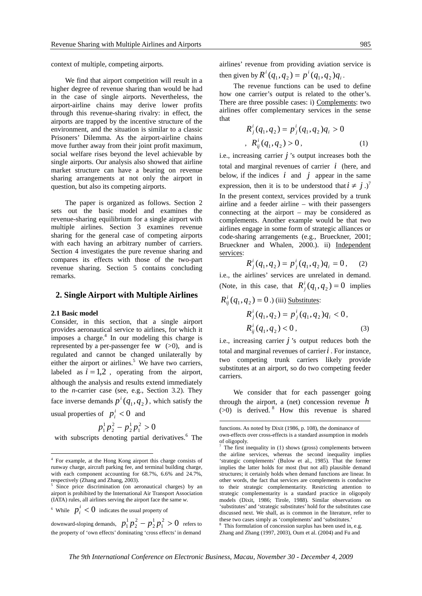context of multiple, competing airports.

We find that airport competition will result in a higher degree of revenue sharing than would be had in the case of single airports. Nevertheless, the airport-airline chains may derive lower profits through this revenue-sharing rivalry: in effect, the airports are trapped by the incentive structure of the environment, and the situation is similar to a classic Prisoners' Dilemma. As the airport-airline chains move further away from their joint profit maximum, social welfare rises beyond the level achievable by single airports. Our analysis also showed that airline market structure can have a bearing on revenue sharing arrangements at not only the airport in question, but also its competing airports.

The paper is organized as follows. Section 2 sets out the basic model and examines the revenue-sharing equilibrium for a single airport with multiple airlines. Section 3 examines revenue sharing for the general case of competing airports with each having an arbitrary number of carriers. Section 4 investigates the pure revenue sharing and compares its effects with those of the two-part revenue sharing. Section 5 contains concluding remarks.

## **2. Single Airport with Multiple Airlines**

#### **2.1 Basic model**

<u>.</u>

Consider, in this section, that a single airport provides aeronautical service to airlines, for which it imposes a charge. $4$  In our modeling this charge is represented by a per-passenger fee  $w$  ( $>0$ ), and is regulated and cannot be changed unilaterally by either the airport or airlines.<sup>5</sup> We have two carriers, labeled as  $i = 1,2$ , operating from the airport, although the analysis and results extend immediately to the *n*-carrier case (see, e.g., Section 3.2). They face inverse demands  $p^{i}(q_1, q_2)$ , which satisfy the usual properties of  $p_i^i < 0$  and

$$
p_1^1 p_2^2 - p_2^1 p_1^2 > 0
$$

with subscripts denoting partial derivatives.<sup>6</sup> The

<sup>6</sup> While  $p_i^i < 0$  indicates the usual property of

downward-sloping demands,  $p_1^1 p_2^2 - p_2^1 p_1^2 > 0$ 1 2 2 2  $p_1^1 p_2^2 - p_2^1 p_1^2 > 0$  refers to the property of 'own effects' dominating 'cross effects' in demand

airlines' revenue from providing aviation service is then given by  $R^i(q_1, q_2) = p^i(q_1, q_2)q_i$ .

The revenue functions can be used to define how one carrier's output is related to the other's. There are three possible cases: i) Complements: two airlines offer complementary services in the sense that

$$
R_j^i(q_1, q_2) = p_j^i(q_1, q_2)q_i > 0
$$
  
, 
$$
R_{ij}^i(q_1, q_2) > 0,
$$
 (1)

i.e., increasing carrier *j* 's output increases both the total and marginal revenues of carrier *i* (here, and below, if the indices  $i$  and  $j$  appear in the same expression, then it is to be understood that  $i \neq j$ .)<sup>7</sup> In the present context, services provided by a trunk airline and a feeder airline – with their passengers connecting at the airport – may be considered as complements. Another example would be that two airlines engage in some form of strategic alliances or code-sharing arrangements (e.g., Brueckner, 2001; Brueckner and Whalen, 2000.). ii) Independent services:

$$
R_j^i(q_1, q_2) = p_j^i(q_1, q_2)q_i = 0, \quad (2)
$$

i.e., the airlines' services are unrelated in demand. (Note, in this case, that  $R_j^i(q_1, q_2) = 0$  implies  $R_{ij}^{i}(q_1, q_2) = 0$ .) (iii) <u>Substitutes</u>:

$$
R_j^i(q_1, q_2) = p_j^i(q_1, q_2)q_i < 0,
$$
\n
$$
R_{ij}^i(q_1, q_2) < 0,\tag{3}
$$

i.e., increasing carrier *j* 's output reduces both the total and marginal revenues of carrier*i* . For instance, two competing trunk carriers likely provide substitutes at an airport, so do two competing feeder carriers.

We consider that for each passenger going through the airport, a (net) concession revenue *h*  $(>0)$  is derived. <sup>8</sup> How this revenue is shared

1

<sup>4</sup> For example, at the Hong Kong airport this charge consists of runway charge, aircraft parking fee, and terminal building charge, with each component accounting for 68.7%, 6.6% and 24.7%, respectively (Zhang and Zhang, 2003).

Since price discrimination (on aeronautical charges) by an airport is prohibited by the International Air Transport Association (IATA) rules, all airlines serving the airport face the same *w*.

functions. As noted by Dixit (1986, p. 108), the dominance of own-effects over cross-effects is a standard assumption in models of oligopoly.

<sup>7</sup> The first inequality in (1) shows (gross) complements between the airline services, whereas the second inequality implies 'strategic complements' (Bulow et al., 1985). That the former implies the latter holds for most (but not all) plausible demand structures; it certainly holds when demand functions are linear. In other words, the fact that services are complements is conducive to their strategic complementarity. Restricting attention to strategic complementarity is a standard practice in oligopoly models (Dixit, 1986; Tirole, 1988). Similar observations on 'substitutes' and 'strategic substitutes' hold for the substitutes case discussed next. We shall, as is common in the literature, refer to these two cases simply as 'complements' and 'substitutes.'

<sup>8</sup> This formulation of concession surplus has been used in, e.g. Zhang and Zhang (1997, 2003), Oum et al. (2004) and Fu and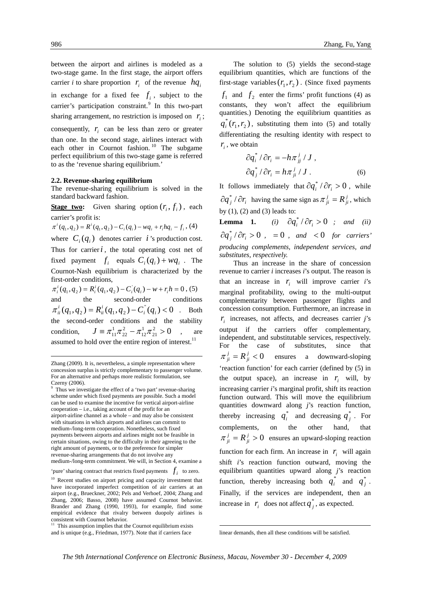1

between the airport and airlines is modeled as a two-stage game. In the first stage, the airport offers carrier *i* to share proportion  $r_i$  of the revenue  $hq_i$ in exchange for a fixed fee  $f_i$ , subject to the carrier's participation constraint.<sup>9</sup> In this two-part sharing arrangement, no restriction is imposed on  $r_i$ ; consequently,  $r_i$  can be less than zero or greater

than one. In the second stage, airlines interact with each other in Cournot fashion.<sup>10</sup> The subgame perfect equilibrium of this two-stage game is referred to as the 'revenue sharing equilibrium.'

#### **2.2. Revenue-sharing equilibrium**

The revenue-sharing equilibrium is solved in the standard backward fashion.

**<u>Stage two</u>:** Given sharing option  $(r_i, f_i)$ , each carrier's profit is:

 $\pi^{i}(q_{1},q_{2}) = R^{i}(q_{1},q_{2}) - C_{i}(q_{i}) - wq_{i} + r_{i}hq_{i} - f_{i}$ , (4)

where  $C_i(q_i)$  denotes carrier *i*'s production cost. Thus for carrier  $i$ , the total operating cost net of fixed payment  $f_i$  equals  $C_i(q_i) + wq_i$ . The Cournot-Nash equilibrium is characterized by the first-order conditions,

 $\pi_i^i(q_1, q_2) = R_i^i(q_1, q_2) - C_i^i(q_i) - w + r_i h = 0$ , (5) and the second-order conditions  $\pi_{ii}^{i}(q_1, q_2) = R_{ii}^{i}(q_1, q_2) - C_{i}^{i}(q_i) < 0$ . Both the second-order conditions and the stability condition,  $J = \pi_{11}^1 \pi_{22}^2 - \pi_{12}^1 \pi_{21}^2 > 0$ 1 12 2  $J \equiv \pi_{11}^1 \pi_{22}^2 - \pi_{12}^1 \pi_{21}^2 > 0$ , are assumed to hold over the entire region of interest. $^{11}$ 

986 Zhang, Fu, Yang

The solution to (5) yields the second-stage equilibrium quantities, which are functions of the first-stage variables  $(r_1, r_2)$ . (Since fixed payments  $f_1$  and  $f_2$  enter the firms' profit functions (4) as constants, they won't affect the equilibrium quantities.) Denoting the equilibrium quantities as  $q_i^*(r_1, r_2)$ , substituting them into (5) and totally differentiating the resulting identity with respect to  $r_i$ , we obtain

$$
\partial q_i^* / \partial r_i = -h \pi_{jj}^j / J ,
$$
  

$$
\partial q_j^* / \partial r_i = h \pi_{ji}^j / J .
$$
 (6)

It follows immediately that  $\partial q_i^* / \partial r_i > 0$ , while  $\partial q_j^* / \partial r_i$  having the same sign as  $\pi_{ji}^j = R_{ji}^j$ , which by  $(1)$ ,  $(2)$  and  $(3)$  leads to:

**Lemma 1.** (i)  $\partial q_i^* / \partial r_i > 0$  ; and (ii)  $\partial q_i^* / \partial r_i > 0$ , = 0, and < 0 for carriers' *producing complements, independent services, and substitutes, respectively.* 

Thus an increase in the share of concession revenue to carrier *i* increases *i*'s output. The reason is that an increase in  $r_i$  will improve carrier *i*'s marginal profitability, owing to the multi-output complementarity between passenger flights and concession consumption. Furthermore, an increase in  $r<sub>i</sub>$  increases, not affects, and decreases carrier *j*'s output if the carriers offer complementary, independent, and substitutable services, respectively. For the case of substitutes, since that  $=R_{ji}^{j} < 0$ *g*  $\alpha$  *downward-sloping* 'reaction function' for each carrier (defined by (5) in the output space), an increase in  $r_i$  will, by increasing carrier *i*'s marginal profit, shift its reaction function outward. This will move the equilibrium quantities downward along *j*'s reaction function, thereby increasing  $q_i^*$  and decreasing  $q_j^*$ . For complements, on the other hand, that  $\pi^{j}_{ji} = R^{j}_{ji} > 0$  ensures an upward-sloping reaction function for each firm. An increase in  $r_i$  will again shift *i*'s reaction function outward, moving the equilibrium quantities upward along *j*'s reaction function, thereby increasing both  $q_i^*$  and  $q_j^*$ . Finally, if the services are independent, then an increase in  $r_i$  does not affect  $q_j^*$ , as expected.

1

Zhang (2009). It is, nevertheless, a simple representation where concession surplus is strictly complementary to passenger volume. For an alternative and perhaps more realistic formulation, see Czerny (2006).

<sup>9</sup> Thus we investigate the effect of a 'two part' revenue-sharing scheme under which fixed payments are possible. Such a model can be used to examine the incentive for vertical airport-airline cooperation – i.e., taking account of the profit for an airport-airline channel as a whole – and may also be consistent with situations in which airports and airlines can commit to medium-/long-term cooperation. Nonetheless, such fixed payments between airports and airlines might not be feasible in certain situations, owing to the difficulty in their agreeing to the right amount of payments, or to the preference for simpler revenue-sharing arrangements that do not involve any medium-/long-term commitment. We will, in Section 4, examine a

<sup>&#</sup>x27;pure' sharing contract that restricts fixed payments  $f_i$  to zero.

<sup>&</sup>lt;sup>10</sup> Recent studies on airport pricing and capacity investment that have incorporated imperfect competition of air carriers at an airport (e.g., Brueckner, 2002; Pels and Verhoef, 2004; Zhang and Zhang, 2006; Basso, 2008) have assumed Cournot behavior. Brander and Zhang (1990, 1993), for example, find some empirical evidence that rivalry between duopoly airlines is consistent with Cournot behavior.

<sup>&</sup>lt;sup>11</sup> This assumption implies that the Cournot equilibrium exists and is unique (e.g., Friedman, 1977). Note that if carriers face

linear demands, then all these conditions will be satisfied.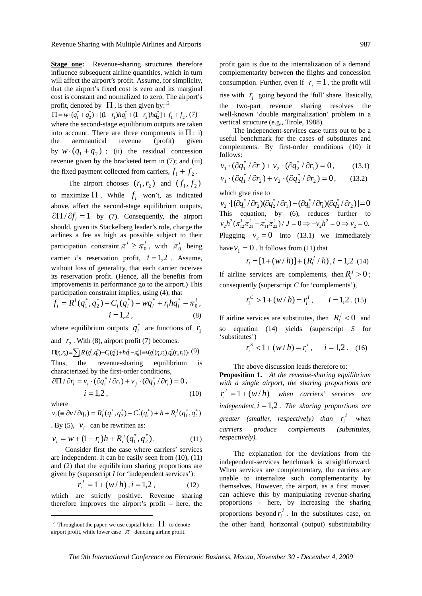**Stage one:** Revenue-sharing structures therefore influence subsequent airline quantities, which in turn will affect the airport's profit. Assume, for simplicity, that the airport's fixed cost is zero and its marginal cost is constant and normalized to zero. The airport's profit, denoted by  $\Pi$ , is then given by:<sup>12</sup>

 $\Pi = w \cdot (q_1^* + q_2^*) + [(1 - r_1)hq_1^* + (1 - r_2)hq_2^*] + f_1 + f_2$ , (7) where the second-stage equilibrium outputs are taken into account. There are three components in  $\Pi$ : i) the aeronautical revenue (profit) given by  $w \cdot (q_1 + q_2)$ ; (ii) the residual concession revenue given by the bracketed term in (7); and (iii) the fixed payment collected from carriers,  $f_1 + f_2$ .

The airport chooses  $(r_1, r_2)$  and  $(f_1, f_2)$ to maximize  $\Pi$ . While  $f_i$  won't, as indicated above, affect the second-stage equilibrium outputs,  $\partial \Pi / \partial f_i = 1$  by (7). Consequently, the airport should, given its Stackelberg leader's role, charge the airlines a fee as high as possible subject to their participation constraint  $\pi^{i} \geq \pi_{0}^{i}$ , with  $\pi_{0}^{i}$  being carrier *i*'s reservation profit,  $i = 1,2$ . Assume, without loss of generality, that each carrier receives its reservation profit. (Hence, all the benefits from improvements in performance go to the airport.) This participation constraint implies, using (4), that

$$
f_i = R^i(q_1^*, q_2^*) - C_i(q_i^*) - wq_i^* + r_i hq_i^* - \pi_0^i,
$$
  
\n
$$
i = 1, 2,
$$
 (8)

where equilibrium outputs  $q_i^*$  are functions of  $r_1$ and  $r_2$ . With (8), airport profit (7) becomes:  $\Pi(r_1,r_2) = \sum R(\vec{q_1},\vec{q_2}) - C_i(\vec{q_1}) + h\ddot{q} - \pi_0^i = \forall (\vec{q_1}(r_1,r_2),\vec{q_2}(r_1,r_2))$ . (9)

Thus, the revenue-sharing equilibrium is characterized by the first-order conditions,

$$
\frac{\partial \Pi}{\partial r_i} = v_i \cdot (\frac{\partial q_i^*}{\partial r_i}) + v_j \cdot (\frac{\partial q_j^*}{\partial r_i}) = 0,
$$
  
\n
$$
i = 1, 2,
$$
 (10)

where

1

$$
v_i (\equiv \partial v / \partial q_i) = R_i^i (q_1^*, q_2^*) - C_i^i (q_i^*) + h + R_i^j (q_1^*, q_2^*)
$$

. By (5),  $v_i$  can be rewritten as:

$$
v_i = w + (1 - r_i)h + R_i^j(q_1^*, q_2^*).
$$
 (11)

Consider first the case where carriers' services are independent. It can be easily seen from (10), (11) and (2) that the equilibrium sharing proportions are given by (superscript *I* for 'independent services'):

$$
r_i^I = 1 + (w/h), i = 1, 2,
$$
 (12)

which are strictly positive. Revenue sharing therefore improves the airport's profit – here, the profit gain is due to the internalization of a demand complementarity between the flights and concession consumption. Further, even if  $r_i = 1$ , the profit will rise with  $r_i$  going beyond the 'full' share. Basically, the two-part revenue sharing resolves the well-known 'double marginalization' problem in a vertical structure (e.g., Tirole, 1988).

The independent-services case turns out to be a useful benchmark for the cases of substitutes and complements. By first-order conditions (10) it follows:

$$
v_1 \cdot (\partial q_1^* / \partial r_1) + v_2 \cdot (\partial q_2^* / \partial r_1) = 0, \qquad (13.1)
$$

$$
v_1 \cdot (\partial q_1^* / \partial r_2) + v_2 \cdot (\partial q_2^* / \partial r_2) = 0, \qquad (13.2)
$$

which give rise to

 $[(\partial q_1^* / \partial r_2)(\partial q_2^* / \partial r_1) - (\partial q_1^* / \partial r_1)(\partial q_2^* / \partial r_2)] = 0$ \*  $1 - \mathcal{U}_1$ \*  $v_2 \cdot [(\partial q_1^* / \partial r_2)(\partial q_2^* / \partial r_1) - (\partial q_1^* / \partial r_1)(\partial q_2^* / \partial r_2)] =$ This equation, by (6), reduces further to  $v_2 h^2 (\pi_{12}^1 \pi_{21}^2 - \pi_{11}^1 \pi_{22}^2) / J = 0 \Rightarrow v_2 h^2 = 0 \Rightarrow v_2 = 0.$ Plugging  $v_2 = 0$  into (13.1) we immediately have  $v_1 = 0$ . It follows from (11) that

$$
r_i = [1 + (w/h)] + (R_i^j/h), i = 1,2..(14)
$$

If airline services are complements, then  $R_i^j > 0$ ; consequently (superscript *C* for 'complements'),

$$
r_i^C > 1 + (w/h) = r_i^I, \qquad i = 1, 2 \,.\,(15)
$$

If airline services are substitutes, then  $R_i^j < 0$  and so equation (14) yields (superscript *S* for 'substitutes')

$$
r_i^S < 1 + (w/h) = r_i^I, \quad i = 1, 2. \quad (16)
$$

The above discussion leads therefore to:

**Proposition 1.** *At the revenue-sharing equilibrium with a single airport, the sharing proportions are*   $r_i^I = 1 + (w/h)$  when carriers' services are  $independent, i = 1, 2$ . The sharing proportions are  $g$ reater (smaller, respectively) than  $r_i^I$  when *carriers produce complements (substitutes, respectively).* 

The explanation for the deviations from the independent-services benchmark is straightforward. When services are complementary, the carriers are unable to internalize such complementarity by themselves. However, the airport, as a first mover, can achieve this by manipulating revenue-sharing proportions – here, by increasing the sharing proportions beyond  $r_i^I$ . In the substitutes case, on the other hand, horizontal (output) substitutability

<sup>&</sup>lt;sup>12</sup> Throughout the paper, we use capital letter  $\Pi$  to denote airport profit, while lower case  $\pi$  denoting airline profit.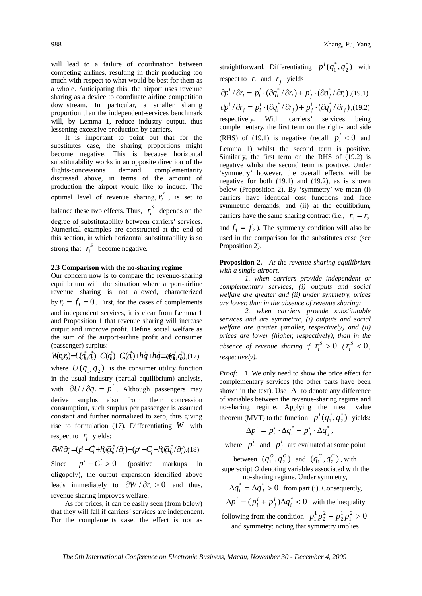will lead to a failure of coordination between competing airlines, resulting in their producing too much with respect to what would be best for them as a whole. Anticipating this, the airport uses revenue sharing as a device to coordinate airline competition downstream. In particular, a smaller sharing proportion than the independent-services benchmark will, by Lemma 1, reduce industry output, thus lessening excessive production by carriers.

It is important to point out that for the substitutes case, the sharing proportions might become negative. This is because horizontal substitutability works in an opposite direction of the flights-concessions demand complementarity discussed above, in terms of the amount of production the airport would like to induce. The optimal level of revenue sharing,  $r_i^s$ , is set to balance these two effects. Thus,  $r_i^s$  depends on the degree of substitutability between carriers' services. Numerical examples are constructed at the end of this section, in which horizontal substitutability is so strong that  $r_i^S$  become negative.

### **2.3 Comparison with the no-sharing regime**

Our concern now is to compare the revenue-sharing equilibrium with the situation where airport-airline revenue sharing is not allowed, characterized by  $r_i = f_i = 0$ . First, for the cases of complements and independent services, it is clear from Lemma 1 and Proposition 1 that revenue sharing will increase output and improve profit. Define social welfare as the sum of the airport-airline profit and consumer (passenger) surplus:

 $\mathcal{L}(r_i,r_j) = U(q_i^*,q_i^*) - C(q_i^*) - C(q_i^*) + h\dot{q} + h\dot{q} = q(q_i^*,q_i^*)$ <u>b</u> \* 0 \* 2 \* 1 \*  $2^{\prime\prime}L$ \* 171 \*  $W(r_1, r_2) = U(q_1^*, q_2^*) - C(q_1^*) - C_2(q_2^*) + hq_1^* + hq_2^* = q(q_1^*, q_2^*), (17)$ where  $U(q_1, q_2)$  is the consumer utility function in the usual industry (partial equilibrium) analysis, with  $\partial U / \partial q_i = p^i$ . Although passengers may derive surplus also from their concession consumption, such surplus per passenger is assumed constant and further normalized to zero, thus giving rise to formulation (17). Differentiating *W* with respect to  $r_i$  yields:

$$
\partial W \partial_i = (p^j - C_i + h) Q_i^* / \partial_i + (p^j - C_j + h) Q_i^* / \partial_i
$$
 (18)

Since  $p^{i} - C_{i} > 0$  (positive markups in oligopoly), the output expansion identified above leads immediately to  $\partial W / \partial r_i > 0$  and thus, revenue sharing improves welfare.

As for prices, it can be easily seen (from below) that they will fall if carriers' services are independent. For the complements case, the effect is not as

straightforward. Differentiating  $p^i(q_1^*, q_2^*)$  $p^{i}(q_1^*, q_2^*)$  with respect to  $r_i$  and  $r_j$  yields

$$
\partial p^i / \partial r_i = p_i^i \cdot (\partial q_i^* / \partial r_i) + p_j^i \cdot (\partial q_j^* / \partial r_i)
$$
, (19.1)  
\n $\partial p^i / \partial r_j = p_i^i \cdot (\partial q_i^* / \partial r_j) + p_j^i \cdot (\partial q_j^* / \partial r_j)$ , (19.2)  
\nrespectively. With carriers' services being  
\ncomplementary, the first term on the right-hand side  
\n(RHS) of (19.1) is negative (recall  $p_i^i < 0$  and  
\nLemma 1) whilst the second term is positive.  
\nSimilarly, the first term on the RHS of (19.2) is  
\nnegative whilst the second term is positive. Under  
\n'symmetry' however, the overall effects will be  
\nnegative for both (19.1) and (19.2), as is shown  
\nbelow (Proposition 2). By 'symmetry' we mean (i)  
\ncarriers have identical cost functions and face  
\nsymmetric demands, and (ii) at the equilibrium,  
\ncarriers have the same sharing contract (i.e.,  $r_1 = r_2$   
\nand  $f_1 = f_2$ ). The symmetry condition will also be  
\nused in the comparison for the substitutes case (see  
\nProposition 2).

**Proposition 2.** *At the revenue-sharing equilibrium with a single airport,* 

*1. when carriers provide independent or complementary services, (i) outputs and social welfare are greater and (ii) under symmetry, prices are lower, than in the absence of revenue sharing;* 

*2. when carriers provide substitutable services and are symmetric, (i) outputs and social welfare are greater (smaller, respectively) and (ii) prices are lower (higher, respectively), than in the*  absence of revenue sharing if  $r_i^S > 0$  ( $r_i^S < 0$ , *respectively).* 

*Proof*: 1. We only need to show the price effect for complementary services (the other parts have been shown in the text). Use  $\Delta$  to denote any difference of variables between the revenue-sharing regime and no-sharing regime. Applying the mean value theorem (MVT) to the function  $p^{i}(q_1^*, q_2^*)$  $p^{i}(q_1^*, q_2^*)$  yields:

$$
\Delta p^i = p_i^i \cdot \Delta q_i^* + p_j^i \cdot \Delta q_j^*,
$$

where  $p_i^i$  and  $p_j^i$  are evaluated at some point

between  $(q_1^{\circ}, q_2^{\circ})$  and  $(q_1^{\circ}, q_2^{\circ})$ , with superscript *O* denoting variables associated with the

no-sharing regime. Under symmetry,  $\Delta q_i^* = \Delta q_i^* > 0$  from part (i). Consequently,

 $\Delta p^i = ( p_i^i + p_j^i ) \Delta q_i^* < 0$ *i i*  $p^i = (p_i^i + p_i^i) \Delta q_i^* < 0$  with the inequality 1 2

following from the condition  $p_1^1 p_2^2 - p_2^1 p_1^2 > 0$ 2 2  $p_1^1 p_2^2 - p_2^1 p_1^2 >$ and symmetry: noting that symmetry implies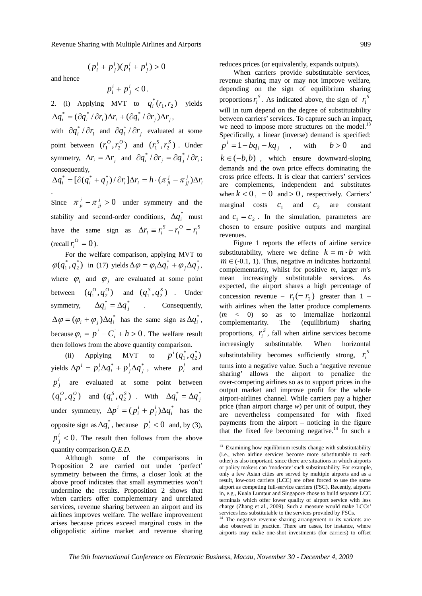$(p_i^i + p_j^i)(p_i^i + p_j^i) > 0$ *i i*

*i j*  $p_i^i + p_j^i$ )( $p_i^i + p_j^i$ 

and hence

$$
p_i^i+p_j^i<0.
$$

2. (i) Applying MVT to  $q_i^*(r_1, r_2)$  yields  $\Delta q_i^* = (\partial q_i^* / \partial r_i) \Delta r_i + (\partial q_i^* / \partial r_i) \Delta r_i$ with  $\partial q_i^* / \partial r_i$  and  $\partial q_i^* / \partial r_i$  evaluated at some

point between  $(r_1^0, r_2^0)$  and  $(r_1^S, r_2^S)$ . Under symmetry,  $\Delta r_i = \Delta r_i$  and  $\partial q_i^* / \partial r_i = \partial q_i^* / \partial r_i$ ; consequently,

$$
\Delta q_i^* = [\partial (q_i^* + q_j^*) / \partial r_i] \Delta r_i = h \cdot (\pi_{ji}^j - \pi_{jj}^j) \Delta r_i
$$

Since  $\pi^{j}_{ji} - \pi^{j}_{jj} > 0$  under symmetry and the stability and second-order conditions,  $\Delta q_i^*$  must have the same sign as  $\Delta r_i \equiv r_i^S - r_i^O = r_i^S$ *O i*  $\Delta r_i \equiv r_i^S - r_i^O = r$  $(\text{recall } r_i^O = 0).$ 

For the welfare comparison, applying MVT to  $(q_1^*, q_2^*)$  $\varphi(q_1^*, q_2^*)$  in (17) yields  $\Delta \varphi = \varphi_i \Delta q_i^* + \varphi_j \Delta q_j^*$ , where  $\varphi_i$  and  $\varphi_j$  are evaluated at some point between  $(q_1^0, q_2^0)$  and  $(q_1^S, q_2^S)$  . Under symmetry,  $\Delta q_i^* = \Delta q_j^*$  . Consequently,  $\Delta \varphi = (\varphi_i + \varphi_j) \Delta q_i^*$  has the same sign as  $\Delta q_i^*$ , because  $\varphi_i = p^i - C_i + h > 0$ . The welfare result then follows from the above quantity comparison.

(ii) Applying MVT to  $p^i(q_1^*, q_2^*)$  $p^{i}(q_1^*,q_2^*)$ yields  $\Delta p^i = p_i^i \Delta q_i^* + p_j^i \Delta q_j^*$ *i i j i*  $\Delta p^i = p_i^i \Delta q_i^* + p_j^i \Delta q_j^*$ , where  $p_i^i$  and  $p_j^i$  are evaluated at some point between  $(q_1^0, q_2^0)$  and  $(q_1^S, q_2^S)$  . With  $\Delta q_i^* = \Delta q_j^*$ under symmetry,  $\Delta p^i = ( p_i^i + p_j^i) \Delta q_i^*$ *j i*  $\Delta p^i = (p_i^i + p_j^i) \Delta q_i^*$  has the opposite sign as  $\Delta q_i^*$ , because  $p_i^i < 0$  and, by (3),  $p_j^i$  < 0. The result then follows from the above quantity comparison.*Q.E.D.* 

Although some of the comparisons in Proposition 2 are carried out under 'perfect' symmetry between the firms, a closer look at the above proof indicates that small asymmetries won't undermine the results. Proposition 2 shows that when carriers offer complementary and unrelated services, revenue sharing between an airport and its airlines improves welfare. The welfare improvement arises because prices exceed marginal costs in the oligopolistic airline market and revenue sharing

reduces prices (or equivalently, expands outputs).

When carriers provide substitutable services, revenue sharing may or may not improve welfare, depending on the sign of equilibrium sharing proportions  $r_i^S$ . As indicated above, the sign of  $r_i^S$ will in turn depend on the degree of substitutability between carriers' services. To capture such an impact, we need to impose more structures on the model.<sup>13</sup> Specifically, a linear (inverse) demand is specified: *i j*  $p^{i} = 1 - bq_{i} - kq_{i}$ , with *b* > 0 and  $k \in (-b, b)$ , which ensure downward-sloping demands and the own price effects dominating the cross price effects. It is clear that carriers' services are complements, independent and substitutes when  $k < 0$ , = 0 and > 0, respectively. Carriers' marginal costs  $c_1$  and  $c_2$  are constant and  $c_1 = c_2$ . In the simulation, parameters are chosen to ensure positive outputs and marginal revenues.

Figure 1 reports the effects of airline service substitutability, where we define  $k = m \cdot b$  with  $m \in (-0.1, 1)$ . Thus, negative *m* indicates horizontal complementarity, whilst for positive *m*, larger *m*'s mean increasingly substitutable services. As expected, the airport shares a high percentage of concession revenue –  $r_1 (= r_2)$  greater than 1 – with airlines when the latter produce complements (*m* < 0) so as to internalize horizontal complementarity. The (equilibrium) sharing proportions,  $r_i^s$ , fall when airline services become increasingly substitutable. When horizontal substitutability becomes sufficiently strong,  $r_i^S$ turns into a negative value. Such a 'negative revenue sharing' allows the airport to penalize the over-competing airlines so as to support prices in the output market and improve profit for the whole airport-airlines channel. While carriers pay a higher price (than airport charge *w*) per unit of output, they are nevertheless compensated for with fixed payments from the airport – noticing in the figure that the fixed fee becoming negative.<sup>14</sup> In such a

<sup>1</sup>  $13$  Examining how equilibrium results change with substitutability (i.e., when airline services become more substitutable to each other) is also important, since there are situations in which airports or policy makers can 'moderate' such substitutability. For example, only a few Asian cities are served by multiple airports and as a result, low-cost carriers (LCC) are often forced to use the same airport as competing full-service carriers (FSC). Recently, airports in, e.g., Kuala Lumpur and Singapore chose to build separate LCC terminals which offer lower quality of airport service with less charge (Zhang et al., 2009). Such a measure would make LCCs' services less substitutable to the services provided by FSCs.

<sup>&</sup>lt;sup>14</sup> The negative revenue sharing arrangement or its variants are also observed in practice. There are cases, for instance, where airports may make one-shot investments (for carriers) to offset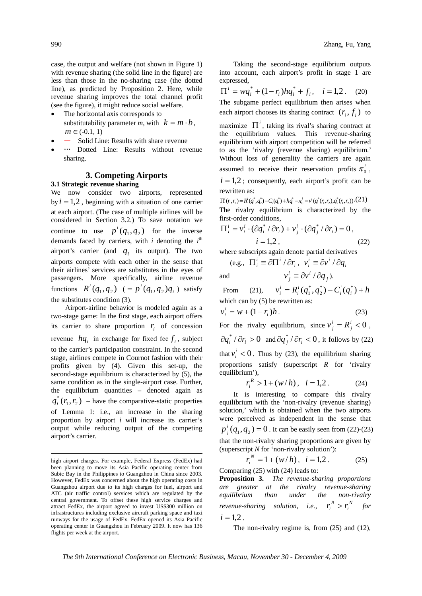case, the output and welfare (not shown in Figure 1) with revenue sharing (the solid line in the figure) are less than those in the no-sharing case (the dotted line), as predicted by Proposition 2. Here, while revenue sharing improves the total channel profit (see the figure), it might reduce social welfare.

- The horizontal axis corresponds to substitutability parameter *m*, with  $k = m \cdot b$ .  $m \in (-0.1, 1)$
- Solid Line: Results with share revenue
- … Dotted Line: Results without revenue sharing.

## **3. Competing Airports**

#### **3.1 Strategic revenue sharing**

We now consider two airports, represented by  $i = 1,2$ , beginning with a situation of one carrier at each airport. (The case of multiple airlines will be considered in Section 3.2.) To save notation we continue to use  $p^{i}(q_1, q_2)$  for the inverse demands faced by carriers, with  $i$  denoting the  $i<sup>th</sup>$ airport's carrier (and  $q_i$  its output). The two airports compete with each other in the sense that their airlines' services are substitutes in the eyes of passengers. More specifically, airline revenue functions  $R^i(q_1, q_2)$   $(= p^i(q_1, q_2)q_i)$  satisfy the substitutes condition (3).

Airport-airline behavior is modeled again as a two-stage game: In the first stage, each airport offers its carrier to share proportion  $r_i$  of concession revenue  $hq_i$  in exchange for fixed fee  $f_i$ , subject to the carrier's participation constraint. In the second stage, airlines compete in Cournot fashion with their profits given by (4). Given this set-up, the second-stage equilibrium is characterized by (5), the same condition as in the single-airport case. Further, the equilibrium quantities – denoted again as  $q_i^*(r_1, r_2)$  – have the comparative-static properties of Lemma 1: i.e., an increase in the sharing proportion by airport *i* will increase its carrier's output while reducing output of the competing airport's carrier.

1

Taking the second-stage equilibrium outputs into account, each airport's profit in stage 1 are expressed,

 $\prod^{i} = wq_i^* + (1 - r_i)hq_i^* + f_i, \quad i = 1,2$ . (20) The subgame perfect equilibrium then arises when each airport chooses its sharing contract  $(r_i, f_i)$  to

maximize  $\Pi^i$ , taking its rival's sharing contract at the equilibrium values. This revenue-sharing equilibrium with airport competition will be referred to as the 'rivalry (revenue sharing) equilibrium.' Without loss of generality the carriers are again assumed to receive their reservation profits  $\pi_0^1$ ,  $i = 1,2$ ; consequently, each airport's profit can be

rewritten as:

 $\Pi^{i}(r_{1}, r_{2}) = R^{i}(q_{1}^{*}, q_{2}^{*}) - C_{i}(q_{i}^{*}) + hq_{i}^{*} - \pi_{0}^{i} \equiv v^{i}(q_{1}^{*}(r_{1}, r_{2}), q_{2}^{*}(r_{1}, r_{2})) \cdot (21)$ The rivalry equilibrium is characterized by the first-order conditions,

$$
\Pi_i^i = v_i^i \cdot (\partial q_i^* / \partial r_i) + v_j^i \cdot (\partial q_j^* / \partial r_i) = 0,
$$
  

$$
i = 1, 2,
$$
 (22)

where subscripts again denote partial derivatives

(e.g., 
$$
\Pi_i^i \equiv \partial \Pi^i / \partial r_i
$$
,  $v_i^i \equiv \partial v^i / \partial q_i$ 

and  $v_j^i \equiv \partial v^i / \partial q_j$ ).

From (21),  $v_i^i = R_i^i(q_1^*, q_2^*) - C_i^i(q_i^*) + h$  $a_i^i = R_i^i(q_1^*, q_2^*) - C_i^i(q_i^*) +$ \* 1 which can by  $(5)$  be rewritten as:

$$
v_i^i = w + (1 - r_i)h.
$$
 (23)

For the rivalry equilibrium, since  $v_j^i = R_j^i < 0$ ,  $\partial q_i^* / \partial r_i > 0$  and  $\partial q_j^* / \partial r_i < 0$ , it follows by (22) that  $v_i^i < 0$ . Thus by (23), the equilibrium sharing proportions satisfy (superscript *R* for 'rivalry equilibrium'),

$$
r_i^R > 1 + (w/h), \quad i = 1, 2. \tag{24}
$$

It is interesting to compare this rivalry equilibrium with the 'non-rivalry (revenue sharing) solution,' which is obtained when the two airports were perceived as independent in the sense that  $p_j^i(q_1, q_2) = 0$ . It can be easily seen from (22)-(23) that the non-rivalry sharing proportions are given by (superscript *N* for 'non-rivalry solution'):

$$
r_i^N = 1 + (w/h), \quad i = 1, 2. \tag{25}
$$

Comparing (25) with (24) leads to:

**Proposition 3.** *The revenue-sharing proportions are greater at the rivalry revenue-sharing equilibrium than under the non-rivalry revenue-sharing solution, i.e.,*  $r_i^R > r_i^N$  $r_i^R > r_i^N$  for  $i = 1.2$ .

The non-rivalry regime is, from (25) and (12),

high airport charges. For example, Federal Express (FedEx) had been planning to move its Asia Pacific operating center from Subic Bay in the Philippines to Guangzhou in China since 2003. However, FedEx was concerned about the high operating costs in Guangzhou airport due to its high charges for fuel, airport and ATC (air traffic control) services which are regulated by the central government. To offset these high service charges and attract FedEx, the airport agreed to invest US\$300 million on infrastructures including exclusive aircraft parking space and taxi runways for the usage of FedEx. FedEx opened its Asia Pacific operating center in Guangzhou in February 2009. It now has 136 flights per week at the airport.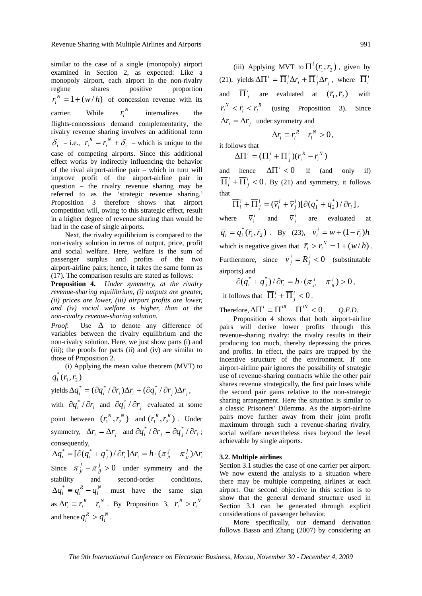similar to the case of a single (monopoly) airport examined in Section 2, as expected: Like a monopoly airport, each airport in the non-rivalry regime shares positive proportion  $r_i^N = 1 + (w/h)$  of concession revenue with its carrier. While  $r_i^N$ *internalizes* the flights-concessions demand complementarity, the rivalry revenue sharing involves an additional term  $\delta_i$  – i.e.,  $r_i^R = r_i^N + \delta_i$ *i*  $r_i^R = r_i^N + \delta_i$  – which is unique to the case of competing airports. Since this additional effect works by indirectly influencing the behavior of the rival airport-airline pair – which in turn will improve profit of the airport-airline pair in question – the rivalry revenue sharing may be referred to as the 'strategic revenue sharing.' Proposition 3 therefore shows that airport competition will, owing to this strategic effect, result in a higher degree of revenue sharing than would be had in the case of single airports.

Next, the rivalry equilibrium is compared to the non-rivalry solution in terms of output, price, profit and social welfare. Here, welfare is the sum of passenger surplus and profits of the two airport-airline pairs; hence, it takes the same form as (17). The comparison results are stated as follows:

**Proposition 4.** *Under symmetry, at the rivalry revenue-sharing equilibrium, (i) outputs are greater, (ii) prices are lower, (iii) airport profits are lower, and (iv) social welfare is higher, than at the non-rivalry revenue-sharing solution.* 

*Proof*: Use Δ to denote any difference of variables between the rivalry equilibrium and the non-rivalry solution. Here, we just show parts (i) and (iii); the proofs for parts (ii) and (iv) are similar to those of Proposition 2.

(i) Applying the mean value theorem (MVT) to  $q_i^*(r_1, r_2)$ 

yields 
$$
\Delta q_i^* = (\partial q_i^* / \partial r_i) \Delta r_i + (\partial q_i^* / \partial r_j) \Delta r_j
$$
,

with  $\partial q_i^* / \partial r_i$  and  $\partial q_i^* / \partial r_i$  evaluated at some point between  $(r_1^N, r_2^N)$  and  $(r_1^R, r_2^R)$ . Under symmetry,  $\Delta r_i = \Delta r_i$  and  $\partial q_i^* / \partial r_i = \partial q_i^* / \partial r_i$ ; consequently,

*i j jj*  $\Delta q_i^* = [\partial (q_i^* + q_j^*) / \partial r_i ] \Delta r_i = h \cdot (\pi j_{i}^j - \pi j_{i}^j) \Delta r_i$ Since  $\pi^{j}_{ji} - \pi^{j}_{jj} > 0$  under symmetry and the stability and second-order conditions, *N*  $\Delta q_i^* \equiv q_i^R - q_i^N$  must have the same sign as  $\Delta r_i \equiv r_i^R - r_i^N$ *i*  $\Delta r_i \equiv r_i^R - r_i^N$ . By Proposition 3,  $r_i^R > r_i^N$  $r_i^R > r$ and hence  $q_i^R > q_i^N$  $q_i^R > q_i^N$ .

(iii) Applying MVT to  $\Pi^{i}(r_1, r_2)$ , given by (21), yields  $\Delta \Pi^i = \overline{\Pi}_i^i \Delta r_i + \overline{\Pi}_j^i \Delta r_j$  $i$ <sup> $\top$ </sup>  $\mathbf{11}$ <sub>*j*</sub> *i*  $\Delta \Pi^i = \overline{\Pi}_i^i \Delta r_i + \overline{\Pi}_j^i \Delta r_j$ , where  $\overline{\Pi}_i^i$ and  $\overline{\Pi}_{i}^{i}$  are evaluated at  $(\overline{r}_{i}, \overline{r}_{i})$  with *R i i*  $r_i^N < \overline{r}_i < r_i^R$  (using Proposition 3). Since  $\Delta r_i = \Delta r_i$  under symmetry and

$$
\Delta r_i \equiv r_i^R - r_i^N > 0,
$$

it follows that *i*

 $(\overline{\Pi}_{i}^{i}+\overline{\Pi}_{j}^{i})(r_{i}^{R}-r_{i}^{N})$ *R i i j*  $\Delta \Pi^i = (\overline{\Pi}^i_i + \overline{\Pi}^i_j)(r_i^R - r_i^I)$ 

and hence  $\Delta \Pi^{i} < 0$  if (and only if)  $\overline{\Pi}_{i}^{i}+\overline{\Pi}_{j}^{i}<0$  $\overline{I}_i^i$  +  $\overline{II}_j^i$  < 0. By (21) and symmetry, it follows that

 $(\overline{v}_i^i + \overline{v}_j^i)[\partial (q_1^* + q_2^*)/\partial r_i]$ \*  $_1$  <sup>+</sup>  $q_2$ )  $^{\prime}$   $\sigma_i$ *i j i i i j*  $\overline{\Pi}_{i}^{i} + \overline{\Pi}_{j}^{i} = (\overline{v}_{i}^{i} + \overline{v}_{j}^{i})[\partial(q_{1}^{*} + q_{2}^{*})/\partial r_{i}],$ 

where  $\overline{v}_i^i$  and  $\overline{v}_j^i$  are evaluated at  $\overline{q}_i = q_i^*(\overline{r}_1, \overline{r}_2)$  . By (23),  $\overline{v}_i^i = w + (1 - \overline{r}_i)h$ which is negative given that  $\overline{r}_i > r_i^N = 1 + (w/h)$ . Furthermore, since  $\overline{v}_j^i = \overline{R}_j^i < 0$  (substitutable airports) and

$$
\partial (q_i^* + q_j^*) / \partial r_i = h \cdot (\pi_{ji}^j - \pi_{jj}^j) > 0,
$$

it follows that  $\overline{\Pi}_i^i + \overline{\Pi}_j^i < 0$  $\overline{i}$ <sub>*i*</sub> +  $\overline{\Pi}$ <sup>*i*</sup></sup><sub>*j*</sub> < 0.

Therefore,  $\Delta \Pi^i \equiv \Pi^{iR} - \Pi^{iN} < 0$ . *Q.E.D.* 

Proposition 4 shows that both airport-airline pairs will derive lower profits through this revenue-sharing rivalry: the rivalry results in their producing too much, thereby depressing the prices and profits. In effect, the pairs are trapped by the incentive structure of the environment. If one airport-airline pair ignores the possibility of strategic use of revenue-sharing contracts while the other pair shares revenue strategically, the first pair loses while the second pair gains relative to the non-strategic sharing arrangement. Here the situation is similar to a classic Prisoners' Dilemma. As the airport-airline pairs move further away from their joint profit maximum through such a revenue-sharing rivalry, social welfare nevertheless rises beyond the level achievable by single airports.

## **3.2. Multiple airlines**

Section 3.1 studies the case of one carrier per airport. We now extend the analysis to a situation where there may be multiple competing airlines at each airport. Our second objective in this section is to show that the general demand structure used in Section 3.1 can be generated through explicit considerations of passenger behavior.

More specifically, our demand derivation follows Basso and Zhang (2007) by considering an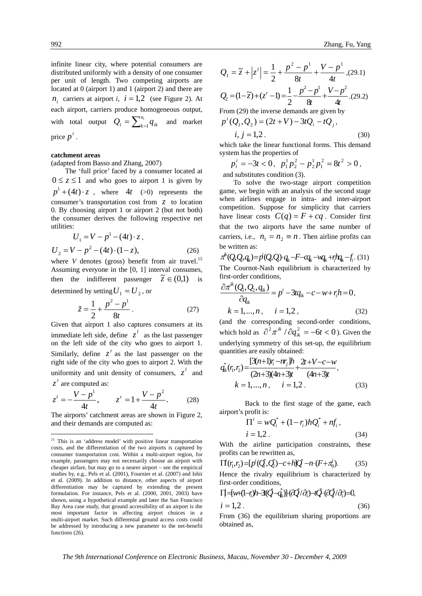infinite linear city, where potential consumers are distributed uniformly with a density of one consumer per unit of length. Two competing airports are located at 0 (airport 1) and 1 (airport 2) and there are  $n_i$  carriers at airport *i*,  $i = 1,2$  (see Figure 2). At each airport, carriers produce homogeneous output, with total output  $Q_i = \sum_{k=1}^{n_i} q_{ik}$  and market price  $p^i$ .

## **catchment areas**

(adapted from Basso and Zhang, 2007)

The 'full price' faced by a consumer located at  $0 \le z \le 1$  and who goes to airport 1 is given by  $p^{1} + (4t) \cdot z$ , where  $4t$  (>0) represents the consumer's transportation cost from *z* to location 0. By choosing airport 1 or airport 2 (but not both) the consumer derives the following respective net utilities:

$$
U_1 = V - p^1 - (4t) \cdot z,
$$
  
\n
$$
U_2 = V - p^2 - (4t) \cdot (1 - z),
$$
\n(26)

where *V* denotes (gross) benefit from air travel.<sup>15</sup> Assuming everyone in the [0, 1] interval consumes, then the indifferent passenger  $\tilde{z} \in (0,1)$  is determined by setting  $U_1 = U_2$  or

$$
1 \tfrac{2}{3} \tfrac{1}{1}
$$

$$
\tilde{z} = \frac{1}{2} + \frac{p^2 - p^1}{8t} \,. \tag{27}
$$

Given that airport 1 also captures consumers at its immediate left side, define  $z^l$  as the last passenger on the left side of the city who goes to airport 1. Similarly, define  $z^r$  as the last passenger on the right side of the city who goes to airport 2. With the uniformity and unit density of consumers,  $z^l$  and *z*<sup>*r*</sup> are computed as:

$$
z^{l} = -\frac{V - p^{1}}{4t}, \qquad z^{r} = 1 + \frac{V - p^{2}}{4t}.
$$
 (28)

The airports' catchment areas are shown in Figure 2, and their demands are computed as:

1

992 Zhang, Fu, Yang

$$
Q_1 = \tilde{z} + |z'| = \frac{1}{2} + \frac{p^2 - p^1}{8t} + \frac{V - p^1}{4t}
$$
(29.1)  

$$
Q_2 = (1 - \tilde{z}) + (z' - 1) = \frac{1}{2} - \frac{p^2 - p^1}{8t} + \frac{V - p^2}{4t}
$$
(29.2)

From (29) the inverse demands are given by

$$
p^{i}(Q_1, Q_2) = (2t + V) - 3tQ_i - tQ_j,
$$

 $i, j = 1,2$  . (30) which take the linear functional forms. This demand system has the properties of

$$
p_i^i = -3t < 0, \ \ p_1^1 p_2^2 - p_2^1 p_1^2 = 8t^2 > 0,
$$

and substitutes condition (3).

To solve the two-stage airport competition game, we begin with an analysis of the second stage when airlines engage in intra- and inter-airport competition. Suppose for simplicity that carriers have linear costs  $C(q) = F + cq$ . Consider first that the two airports have the same number of carriers, i.e.,  $n_1 = n_2 \equiv n$ . Then airline profits can be written as:

 $\pi^k(Q, Q, q_k) = p^i(Q, Q) \cdot q_k - F - \alpha_k - \alpha_k + r^i \alpha_k - f_i$ . (31) The Cournot-Nash equilibrium is characterized by first-order conditions,

$$
\frac{\partial \pi^{ik}(Q_i, Q_2, q_{ik})}{\partial q_{ik}} = p^i - 3t q_{ik} - c - w + r_i h = 0,
$$
  
\n
$$
k = 1, ..., n, \quad i = 1, 2, \quad (32)
$$

(and the corresponding second-order conditions, which hold as  $\frac{\partial^2 \pi^{ik}}{\partial q_{ik}^2} = -6t < 0$ . Given the underlying symmetry of this set-up, the equilibrium quantities are easily obtained:

$$
q_{ik}^{*}(r_{i}, r_{2}) = \frac{[3(n+1)r_{i} - nr_{j}]h}{(2n+3)(4n+3)t} + \frac{2t + V - c - w}{(4n+3)t},
$$
  
\n
$$
k = 1, ..., n, \qquad i = 1, 2.
$$
 (33)

Back to the first stage of the game, each  $a$ irport's profit is:

$$
\Pi' = wQ_i^* + (1 - r_i)hQ_i^* + nf_i,
$$
  
\n $i = 1,2$ . (34)

With the airline participation constraints, these profits can be rewritten as,

$$
\Pi(r_1, r_2) = [p^i(Q_1^i, Q_2^i) - c + h]Q_1^i - n \cdot (F + \pi_0^i). \tag{35}
$$

Hence the rivalry equilibrium is characterized by  $first-order conditions,$ 

$$
\Pi = \{w + (1 - r_i)h - 3(Q - q_k)\} \cdot (Q/\partial_i) - 4Q \cdot (Q/\partial_i) = 0,
$$
\n
$$
i = 1, 2.
$$
\n(36)

From (36) the equilibrium sharing proportions are obtained as,

<sup>&</sup>lt;sup>15</sup> This is an 'address model' with positive linear transportation costs, and the differentiation of the two airports is captured by consumer transportation cost. Within a multi-airport region, for example, passengers may not necessarily choose an airport with cheaper airfare, but may go to a nearer airport – see the empirical studies by, e.g., Pels et al. (2001), Fournier et al. (2007) and Ishii et al. (2009). In addition to distance, other aspects of airport differentiation may be captured by extending the present formulation. For instance, Pels et al. (2000, 2001, 2003) have shown, using a hypothetical example and later the San Francisco Bay Area case study, that ground accessibility of an airport is the most important factor in affecting airport choices in a multi-airport market. Such differential ground access costs could be addressed by introducing a new parameter to the net-benefit functions (26).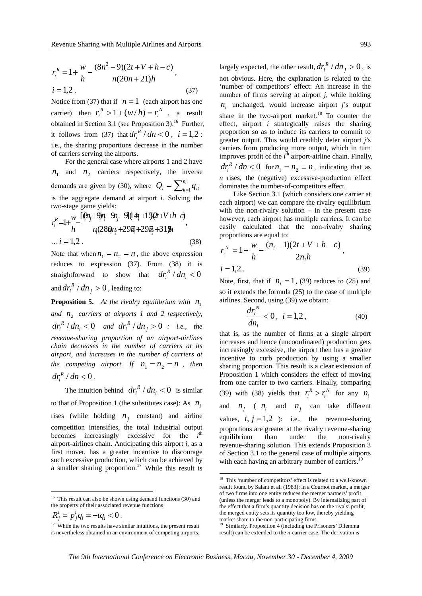$$
r_i^R = 1 + \frac{w}{h} - \frac{(8n^2 - 9)(2t + V + h - c)}{n(20n + 21)h},
$$
  
i = 1,2. (37)

Notice from (37) that if  $n = 1$  (each airport has one carrier) then  $r_i^R > 1 + (w/h) = r_i^N$  $r_i^R > 1 + (w/h) = r_i^N$ , a result obtained in Section 3.1 (see Proposition 3).<sup>16</sup> Further, it follows from (37) that  $dr_i^R / dn < 0$ ,  $i = 1,2$ : i.e., the sharing proportions decrease in the number of carriers serving the airports.

For the general case where airports 1 and 2 have  $n_1$  and  $n_2$  carriers respectively, the inverse demands are given by (30), where  $Q_i = \sum_{k=1}^{n_i} q_{ik}$ is the aggregate demand at airport *i*. Solving the two-stage game yields:

$$
r_i^R = 1 + \frac{w \left[ \Theta_i + 9n_i - 9n_j - 9 \right] (4n_i + 15(2 + V + h - c))}{n_i (280n_i + 29n_i + 29n_j + 31)} ,
$$
  
... *i* = 1,2. (38)

Note that when  $n_1 = n_2 = n$ , the above expression reduces to expression (37). From (38) it is straightforward to show that  $dr_i^R / dn_i < 0$ and  $dr_i^R / dn_j > 0$ , leading to:

**Proposition 5.** At the rivalry equilibrium with  $n_1$ and  $n_2$  *carriers at airports 1 and 2 respectively,*  $dr_i^R / dn_i < 0$  and  $dr_i^R / dn_j > 0$  : i.e., the *revenue-sharing proportion of an airport-airlines chain decreases in the number of carriers at its airport, and increases in the number of carriers at the competing airport. If*  $n_1 = n_2 = n$ , then  $dr_i^R / dn < 0$ .

The intuition behind  $dr_i^R / dn_i < 0$  is similar to that of Proposition 1 (the substitutes case): As  $n_i$ rises (while holding  $n_i$  constant) and airline competition intensifies, the total industrial output becomes increasingly excessive for the *i*<sup>th</sup> airport-airlines chain. Anticipating this airport *i*, as a first mover, has a greater incentive to discourage such excessive production, which can be achieved by a smaller sharing proportion.<sup>17</sup> While this result is

$$
R_j^i = p_j^i q_i = -t q_i < 0 \, .
$$

1

largely expected, the other result,  $dr_i^R / dn_j > 0$ , is not obvious. Here, the explanation is related to the 'number of competitors' effect: An increase in the number of firms serving at airport *j*, while holding  $n_i$  unchanged, would increase airport *j*'s output share in the two-airport market.<sup>18</sup> To counter the effect, airport *i* strategically raises the sharing proportion so as to induce its carriers to commit to greater output. This would credibly deter airport *j*'s carriers from producing more output, which in turn improves profit of the  $i^{\text{th}}$  airport-airline chain. Finally,  $dr_i^R / dn < 0$  for  $n_1 = n_2 \equiv n$ , indicating that as *n* rises, the (negative) excessive-production effect dominates the number-of-competitors effect.

Like Section 3.1 (which considers one carrier at each airport) we can compare the rivalry equilibrium with the non-rivalry solution  $-$  in the present case however, each airport has multiple carriers. It can be easily calculated that the non-rivalry sharing proportions are equal to:

$$
r_i^N = 1 + \frac{w}{h} - \frac{(n_i - 1)(2t + V + h - c)}{2n_i h},
$$
  
i = 1,2. (39)

Note, first, that if  $n_i = 1$ , (39) reduces to (25) and so it extends the formula (25) to the case of multiple airlines. Second, using (39) we obtain:

$$
\frac{dr_i^N}{dn_i} < 0, \ \ i = 1, 2 \,, \tag{40}
$$

that is, as the number of firms at a single airport increases and hence (uncoordinated) production gets increasingly excessive, the airport then has a greater incentive to curb production by using a smaller sharing proportion. This result is a clear extension of Proposition 1 which considers the effect of moving from one carrier to two carriers. Finally, comparing (39) with (38) yields that  $r_i^R > r_i^N$  for any  $n_i$ and  $n_i$  (  $n_i$  and  $n_i$  can take different values,  $i, j = 1,2$  ): i.e., the revenue-sharing proportions are greater at the rivalry revenue-sharing equilibrium than under the non-rivalry revenue-sharing solution. This extends Proposition 3 of Section 3.1 to the general case of multiple airports with each having an arbitrary number of carriers.<sup>19</sup>

<u>.</u>

 $16$  This result can also be shown using demand functions (30) and the property of their associated revenue functions

<sup>&</sup>lt;sup>17</sup> While the two results have similar intuitions, the present result is nevertheless obtained in an environment of competing airports.

<sup>&</sup>lt;sup>18</sup> This 'number of competitors' effect is related to a well-known result found by Salant et al. (1983): in a Cournot market, a merger of two firms into one entity reduces the merger partners' profit (unless the merger leads to a monopoly). By internalizing part of the effect that a firm's quantity decision has on the rivals' profit, the merged entity sets its quantity too low, thereby yielding market share to the non-participating firms.

Similarly, Proposition 4 (including the Prisoners' Dilemma result) can be extended to the *n*-carrier case. The derivation is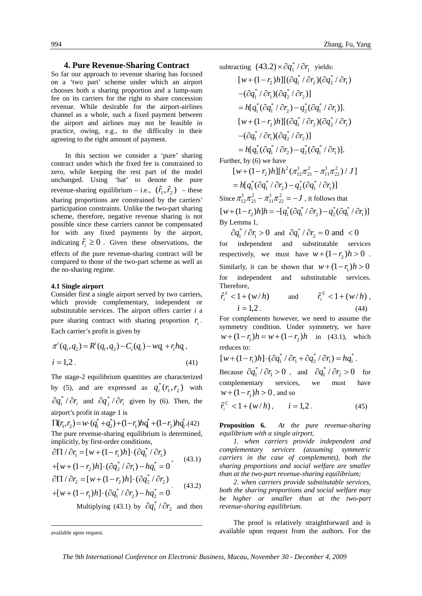## **4. Pure Revenue-Sharing Contract**

So far our approach to revenue sharing has focused on a 'two part' scheme under which an airport chooses both a sharing proportion and a lump-sum fee on its carriers for the right to share concession revenue. While desirable for the airport-airlines channel as a whole, such a fixed payment between the airport and airlines may not be feasible in practice, owing, e.g., to the difficulty in their agreeing to the right amount of payment.

In this section we consider a 'pure' sharing contract under which the fixed fee is constrained to zero, while keeping the rest part of the model unchanged. Using 'hat' to denote the pure revenue-sharing equilibrium – i.e.,  $(\hat{r}_1, \hat{r}_2)$  – these sharing proportions are constrained by the carriers' participation constraints. Unlike the two-part sharing scheme, therefore, negative revenue sharing is not possible since these carriers cannot be compensated for with any fixed payments by the airport, indicating  $\hat{r}_i \geq 0$ . Given these observations, the effects of the pure revenue-sharing contract will be compared to those of the two-part scheme as well as the no-sharing regime.

#### **4.1 Single airport**

Consider first a single airport served by two carriers, which provide complementary, independent or substitutable services. The airport offers carrier *i* a pure sharing contract with sharing proportion  $r_i$ . Each carrier's profit is given by

$$
\pi^{i}(q_{1},q_{2}) = R^{i}(q_{1},q_{2}) - C_{i}(q_{i}) - wq_{i} + r_{i}hq_{i},
$$
  
\n
$$
i = 1,2.
$$
 (41)

The stage-2 equilibrium quantities are characterized by (5), and are expressed as  $q_i^*(r_1, r_2)$  with  $\partial q_i^* / \partial r_i$  and  $\partial q_j^* / \partial r_i$  given by (6). Then, the airport's profit in stage 1 is<br> $\prod(x, y) = y + (a^* + a^*) + (1 - y)b^* + (1 - y)b^*$ 

 $2$ <sup> $\mu$  $\nu$ </sup> $\nu$ \*  $1$ <sup> $\mu$  $\mu$ </sup> $\mu$ \* 2  $\Pi(r_1, r_2) = w \cdot (q_1^* + q_2^*) + (1 - r_1) h q_1^* + (1 - r_2) h q_2^*.$ (42) The pure revenue-sharing equilibrium is determined, implicitly, by first-order conditions, \*

$$
\partial \Pi / \partial r_1 = [w + (1 - r_1)h] \cdot (\partial q_1^* / \partial r_1)
$$
  
+ 
$$
[w + (1 - r_2)h] \cdot (\partial q_2^* / \partial r_1) - h q_1^* = 0
$$
 (43.1)

$$
\partial \Pi / \partial r_2 = [w + (1 - r_2)h] \cdot (\partial q_2^* / \partial r_2) \n+ [w + (1 - r_1)h] \cdot (\partial q_1^* / \partial r_2) - h q_2^* = 0
$$
\n(43.2)

Multiplying (43.1) by  $\partial q_1^* / \partial r_2$  and then

1

subtracting 
$$
(43.2) \times \partial q_1^* / \partial r_1
$$
 yields:  
\n
$$
[w + (1 - r_2)h][(\partial q_1^* / \partial r_2)(\partial q_2^* / \partial r_1)
$$
\n
$$
-(\partial q_1^* / \partial r_1)(\partial q_2^* / \partial r_2)]
$$
\n
$$
= h[q_1^* (\partial q_1^* / \partial r_2) - q_2^* (\partial q_1^* / \partial r_1)].
$$
\n
$$
[w + (1 - r_2)h][(\partial q_1^* / \partial r_2)(\partial q_2^* / \partial r_1)
$$
\n
$$
-(\partial q_1^* / \partial r_1)(\partial q_2^* / \partial r_2)]
$$
\n
$$
= h[q_1^* (\partial q_1^* / \partial r_2) - q_2^* (\partial q_1^* / \partial r_1)].
$$
\nFurther, by (6) we have  
\n
$$
[w + (1 - r_2)h][h^2 (\pi_{12}^1 \pi_{21}^2 - \pi_{11}^1 \pi_{22}^2) / J]
$$
\n
$$
= h[q_1^* (\partial q_1^* / \partial r_2) - q_2^* (\partial q_1^* / \partial r_1)]
$$
\nSince  $\pi_{12}^1 \pi_{21}^2 - \pi_{11}^1 \pi_{22}^2 = -J$ , it follows that

 $[w + (1 - r_2)h]h = -[q_1^* (\partial q_1^* / \partial r_2) - q_2^* (\partial q_1^* / \partial r_1)]$ By Lemma 1,

 $\partial q_1^* / \partial r_1 > 0$  and  $\partial q_1^* / \partial r_2 = 0$  and  $< 0$ for independent and substitutable services respectively, we must have  $w+(1-r_1)h>0$ . Similarly, it can be shown that  $w + (1 - r_1)h > 0$ for independent and substitutable services. Therefore,

$$
\hat{r}_i^I < 1 + (w/h)
$$
 and  $\hat{r}_i^S < 1 + (w/h),$   
\n $i = 1, 2.$  (44)

For complements however, we need to assume the symmetry condition. Under symmetry, we have  $w + (1 - r_1)h = w + (1 - r_2)h$  in (43.1), which reduces to:

$$
[w + (1 - r_1)h] \cdot (\partial q_1^* / \partial r_1 + \partial q_2^* / \partial r_1) = hq_1^*.
$$
  
Because  $\partial q_1^* / \partial r_1 > 0$ , and  $\partial q_1^* / \partial r_2 > 0$  for  
complementary services, we must have  
 $w + (1 - r_1)h > 0$ , and so

$$
\hat{r}_i^C < 1 + (w/h), \qquad i = 1, 2. \tag{45}
$$

**Proposition 6.** *At the pure revenue-sharing equilibrium with a single airport,* 

*1. when carriers provide independent and complementary services (assuming symmetric carriers in the case of complements), both the sharing proportions and social welfare are smaller than at the two-part revenue-sharing equilibrium;* 

*2. when carriers provide substitutable services, both the sharing proportions and social welfare may be higher or smaller than at the two-part revenue-sharing equilibrium.* 

The proof is relatively straightforward and is available upon request from the authors. For the

*The 9th International Conference on Electronic Business, Macau, November 30 - December 4, 2009* 

available upon request.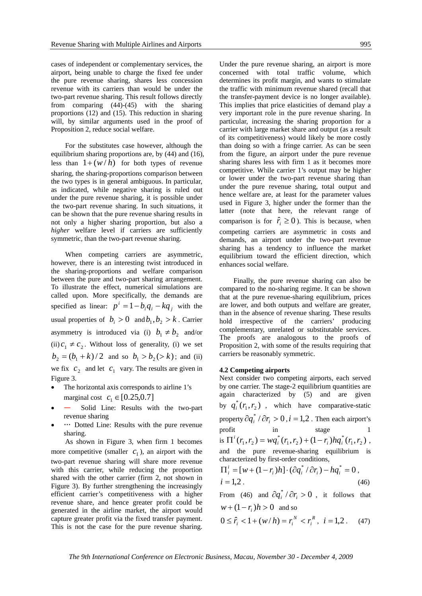cases of independent or complementary services, the airport, being unable to charge the fixed fee under the pure revenue sharing, shares less concession revenue with its carriers than would be under the two-part revenue sharing. This result follows directly from comparing (44)-(45) with the sharing proportions (12) and (15). This reduction in sharing will, by similar arguments used in the proof of Proposition 2, reduce social welfare.

For the substitutes case however, although the equilibrium sharing proportions are, by (44) and (16), less than  $1+(w/h)$  for both types of revenue sharing, the sharing-proportions comparison between the two types is in general ambiguous. In particular, as indicated, while negative sharing is ruled out under the pure revenue sharing, it is possible under the two-part revenue sharing. In such situations, it can be shown that the pure revenue sharing results in not only a higher sharing proportion, but also a *higher* welfare level if carriers are sufficiently symmetric, than the two-part revenue sharing.

When competing carriers are asymmetric, however, there is an interesting twist introduced in the sharing-proportions and welfare comparison between the pure and two-part sharing arrangement. To illustrate the effect, numerical simulations are called upon. More specifically, the demands are specified as linear:  $p^i = 1 - b_i q_i - k q_j$  with the usual properties of  $b_i > 0$  and  $b_1, b_2 > k$ . Carrier asymmetry is introduced via (i)  $b_1 \neq b_2$  and/or (ii)  $c_1 \neq c_2$ . Without loss of generality, (i) we set  $b_2 = (b_1 + k)/2$  and so  $b_1 > b_2 (> k)$ ; and (ii) we fix  $c_2$  and let  $c_1$  vary. The results are given in Figure 3.

- The horizontal axis corresponds to airline 1's marginal cost  $c_1 \in [0.25, 0.7]$
- — Solid Line: Results with the two-part revenue sharing
- ••• Dotted Line: Results with the pure revenue sharing.

As shown in Figure 3, when firm 1 becomes more competitive (smaller  $c_1$ ), an airport with the two-part revenue sharing will share more revenue with this carrier, while reducing the proportion shared with the other carrier (firm 2, not shown in Figure 3). By further strengthening the increasingly efficient carrier's competitiveness with a higher revenue share, and hence greater profit could be generated in the airline market, the airport would capture greater profit via the fixed transfer payment. This is not the case for the pure revenue sharing.

Under the pure revenue sharing, an airport is more concerned with total traffic volume, which determines its profit margin, and wants to stimulate the traffic with minimum revenue shared (recall that the transfer-payment device is no longer available). This implies that price elasticities of demand play a very important role in the pure revenue sharing. In particular, increasing the sharing proportion for a carrier with large market share and output (as a result of its competitiveness) would likely be more costly than doing so with a fringe carrier. As can be seen from the figure, an airport under the pure revenue sharing shares less with firm 1 as it becomes more competitive. While carrier 1's output may be higher or lower under the two-part revenue sharing than under the pure revenue sharing, total output and hence welfare are, at least for the parameter values used in Figure 3, higher under the former than the latter (note that here, the relevant range of comparison is for  $\hat{r}_i \ge 0$ ). This is because, when competing carriers are asymmetric in costs and demands, an airport under the two-part revenue sharing has a tendency to influence the market equilibrium toward the efficient direction, which enhances social welfare.

Finally, the pure revenue sharing can also be compared to the no-sharing regime. It can be shown that at the pure revenue-sharing equilibrium, prices are lower, and both outputs and welfare are greater, than in the absence of revenue sharing. These results hold irrespective of the carriers' producing complementary, unrelated or substitutable services. The proofs are analogous to the proofs of Proposition 2, with some of the results requiring that carriers be reasonably symmetric.

### **4.2 Competing airports**

Next consider two competing airports, each served by one carrier. The stage-2 equilibrium quantities are again characterized by (5) and are given by  $q_i^*(r_1, r_2)$ , which have comparative-static property  $\partial q_i^* / \partial r_i > 0$ ,  $i = 1,2$ . Then each airport's profit in stage 1 is  $\Pi^{i}(r_1, r_2) = wq_i^{*}(r_1, r_2) + (1 - r_i)hq_i^{*}(r_1, r_2)$  $1, 7$  $\Pi^{i}(r_{1}, r_{2}) = wq_{i}^{*}(r_{1}, r_{2}) + (1 - r_{i})hq_{i}^{*}(r_{1}, r_{2}),$ and the pure revenue-sharing equilibrium is characterized by first-order conditions,

$$
\Pi_i^i = [w + (1 - r_i)h] \cdot (\partial q_i^* / \partial r_i) - h q_i^* = 0,
$$
  
\n $i = 1,2.$  (46)

From (46) and  $\partial q_i^* / \partial r_i > 0$ , it follows that  $w + (1 - r_i)h > 0$  and so

$$
0 \leq \hat{r}_i < 1 + (w/h) = r_i^N < r_i^R, \ \ i = 1, 2 \ . \tag{47}
$$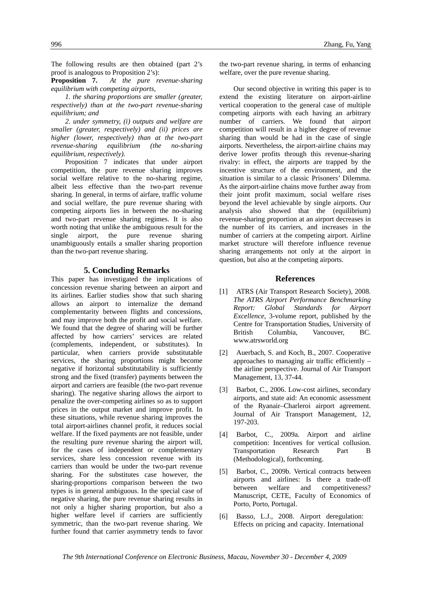The following results are then obtained (part 2's proof is analogous to Proposition 2's):

**Proposition 7.** *At the pure revenue-sharing equilibrium with competing airports,* 

*1. the sharing proportions are smaller (greater, respectively) than at the two-part revenue-sharing equilibrium; and*

*2. under symmetry, (i) outputs and welfare are smaller (greater, respectively) and (ii) prices are higher (lower, respectively) than at the two-part revenue-sharing equilibrium (the no-sharing equilibrium, respectively).* 

Proposition 7 indicates that under airport competition, the pure revenue sharing improves social welfare relative to the no-sharing regime, albeit less effective than the two-part revenue sharing. In general, in terms of airfare, traffic volume and social welfare, the pure revenue sharing with competing airports lies in between the no-sharing and two-part revenue sharing regimes. It is also worth noting that unlike the ambiguous result for the single airport, the pure revenue sharing unambiguously entails a smaller sharing proportion than the two-part revenue sharing.

## **5. Concluding Remarks**

This paper has investigated the implications of concession revenue sharing between an airport and its airlines. Earlier studies show that such sharing allows an airport to internalize the demand complementarity between flights and concessions, and may improve both the profit and social welfare. We found that the degree of sharing will be further affected by how carriers' services are related (complements, independent, or substitutes). In particular, when carriers provide substitutable services, the sharing proportions might become negative if horizontal substitutability is sufficiently strong and the fixed (transfer) payments between the airport and carriers are feasible (the two-part revenue sharing). The negative sharing allows the airport to penalize the over-competing airlines so as to support prices in the output market and improve profit. In these situations, while revenue sharing improves the total airport-airlines channel profit, it reduces social welfare. If the fixed payments are not feasible, under the resulting pure revenue sharing the airport will, for the cases of independent or complementary services, share less concession revenue with its carriers than would be under the two-part revenue sharing. For the substitutes case however, the sharing-proportions comparison between the two types is in general ambiguous. In the special case of negative sharing, the pure revenue sharing results in not only a higher sharing proportion, but also a higher welfare level if carriers are sufficiently symmetric, than the two-part revenue sharing. We further found that carrier asymmetry tends to favor

the two-part revenue sharing, in terms of enhancing welfare, over the pure revenue sharing.

Our second objective in writing this paper is to extend the existing literature on airport-airline vertical cooperation to the general case of multiple competing airports with each having an arbitrary number of carriers. We found that airport competition will result in a higher degree of revenue sharing than would be had in the case of single airports. Nevertheless, the airport-airline chains may derive lower profits through this revenue-sharing rivalry: in effect, the airports are trapped by the incentive structure of the environment, and the situation is similar to a classic Prisoners' Dilemma. As the airport-airline chains move further away from their joint profit maximum, social welfare rises beyond the level achievable by single airports. Our analysis also showed that the (equilibrium) revenue-sharing proportion at an airport decreases in the number of its carriers, and increases in the number of carriers at the competing airport. Airline market structure will therefore influence revenue sharing arrangements not only at the airport in question, but also at the competing airports.

# **References**

- [1] ATRS (Air Transport Research Society), 2008. *The ATRS Airport Performance Benchmarking Report: Global Standards for Airport Excellence*, 3-volume report, published by the Centre for Transportation Studies, University of British Columbia, Vancouver, BC. www.atrsworld.org
- [2] Auerbach, S. and Koch, B., 2007. Cooperative approaches to managing air traffic efficiently – the airline perspective. Journal of Air Transport Management, 13, 37-44.
- [3] Barbot, C., 2006. Low-cost airlines, secondary airports, and state aid: An economic assessment of the Ryanair–Charleroi airport agreement. Journal of Air Transport Management, 12, 197-203.
- [4] Barbot, C., 2009a. Airport and airline competition: Incentives for vertical collusion. Transportation Research Part B (Methodological), forthcoming.
- [5] Barbot, C., 2009b. Vertical contracts between airports and airlines: Is there a trade-off between welfare and competitiveness? Manuscript, CETE, Faculty of Economics of Porto, Porto, Portugal.
- [6] Basso, L.J., 2008. Airport deregulation: Effects on pricing and capacity. International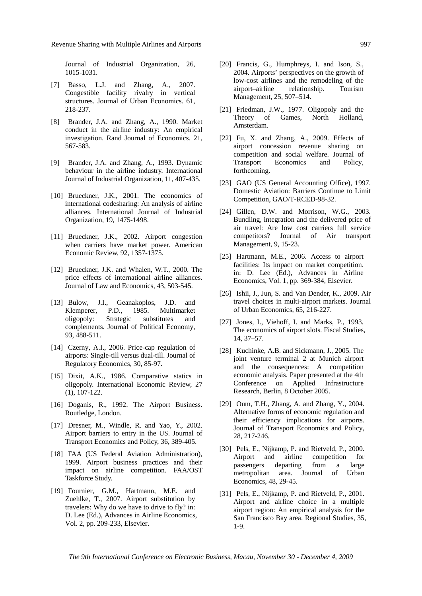Journal of Industrial Organization, 26, 1015-1031.

- [7] Basso, L.J. and Zhang, A., 2007. Congestible facility rivalry in vertical structures. Journal of Urban Economics. 61, 218-237.
- [8] Brander, J.A. and Zhang, A., 1990. Market conduct in the airline industry: An empirical investigation. Rand Journal of Economics. 21, 567-583.
- [9] Brander, J.A. and Zhang, A., 1993. Dynamic behaviour in the airline industry. International Journal of Industrial Organization, 11, 407-435.
- [10] Brueckner, J.K., 2001. The economics of international codesharing: An analysis of airline alliances. International Journal of Industrial Organization, 19, 1475-1498.
- [11] Brueckner, J.K., 2002. Airport congestion when carriers have market power. American Economic Review, 92, 1357-1375.
- [12] Brueckner, J.K. and Whalen, W.T., 2000. The price effects of international airline alliances. Journal of Law and Economics, 43, 503-545.
- [13] Bulow, J.I., Geanakoplos, J.D. and Klemperer, P.D., 1985. Multimarket oligopoly: Strategic substitutes and complements. Journal of Political Economy, 93, 488-511.
- [14] Czerny, A.I., 2006. Price-cap regulation of airports: Single-till versus dual-till. Journal of Regulatory Economics, 30, 85-97.
- [15] Dixit, A.K., 1986. Comparative statics in oligopoly. International Economic Review, 27 (1), 107-122.
- [16] Doganis, R., 1992. The Airport Business. Routledge, London.
- [17] Dresner, M., Windle, R. and Yao, Y., 2002. Airport barriers to entry in the US. Journal of Transport Economics and Policy, 36, 389-405.
- [18] FAA (US Federal Aviation Administration), 1999. Airport business practices and their impact on airline competition. FAA/OST Taskforce Study.
- [19] Fournier, G.M., Hartmann, M.E. and Zuehlke, T., 2007. Airport substitution by travelers: Why do we have to drive to fly? in: D. Lee (Ed.), Advances in Airline Economics, Vol. 2, pp. 209-233, Elsevier.
- [20] Francis, G., Humphreys, I. and Ison, S., 2004. Airports' perspectives on the growth of low-cost airlines and the remodeling of the airport–airline relationship. Tourism Management, 25, 507–514.
- [21] Friedman, J.W., 1977. Oligopoly and the Theory of Games, North Holland, Amsterdam.
- [22] Fu, X. and Zhang, A., 2009. Effects of airport concession revenue sharing on competition and social welfare. Journal of Transport Economics and Policy, forthcoming.
- [23] GAO (US General Accounting Office), 1997. Domestic Aviation: Barriers Continue to Limit Competition, GAO/T-RCED-98-32.
- [24] Gillen, D.W. and Morrison, W.G., 2003. Bundling, integration and the delivered price of air travel: Are low cost carriers full service competitors? Journal of Air transport Management, 9, 15-23.
- [25] Hartmann, M.E., 2006. Access to airport facilities: Its impact on market competition. in: D. Lee (Ed.), Advances in Airline Economics, Vol. 1, pp. 369-384, Elsevier.
- [26] Ishii, J., Jun, S. and Van Dender, K., 2009. Air travel choices in multi-airport markets. Journal of Urban Economics, 65, 216-227.
- [27] Jones, I., Viehoff, I. and Marks, P., 1993. The economics of airport slots. Fiscal Studies, 14, 37–57.
- [28] Kuchinke, A.B. and Sickmann, J., 2005. The joint venture terminal 2 at Munich airport and the consequences: A competition economic analysis. Paper presented at the 4th Conference on Applied Infrastructure Research, Berlin, 8 October 2005.
- [29] Oum, T.H., Zhang, A. and Zhang, Y., 2004. Alternative forms of economic regulation and their efficiency implications for airports. Journal of Transport Economics and Policy, 28, 217-246.
- [30] Pels, E., Nijkamp, P. and Rietveld, P., 2000. Airport and airline competition for passengers departing from a large metropolitan area. Journal of Urban Economics, 48, 29-45.
- [31] Pels, E., Nijkamp, P. and Rietveld, P., 2001. Airport and airline choice in a multiple airport region: An empirical analysis for the San Francisco Bay area. Regional Studies, 35, 1-9.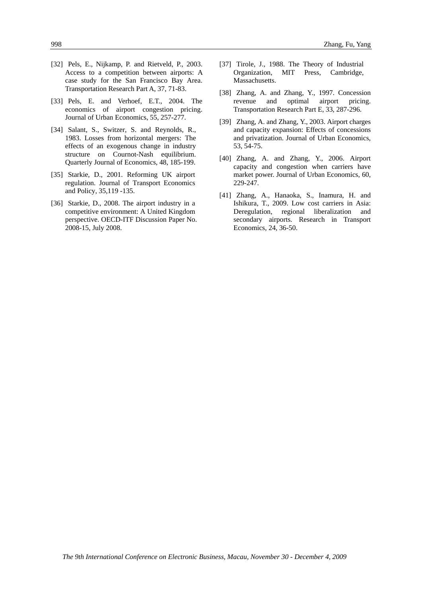- [32] Pels, E., Nijkamp, P. and Rietveld, P., 2003. Access to a competition between airports: A case study for the San Francisco Bay Area. Transportation Research Part A, 37, 71-83.
- [33] Pels, E. and Verhoef, E.T., 2004. The economics of airport congestion pricing. Journal of Urban Economics, 55, 257-277.
- [34] Salant, S., Switzer, S. and Reynolds, R., 1983. Losses from horizontal mergers: The effects of an exogenous change in industry structure on Cournot-Nash equilibrium. Quarterly Journal of Economics, 48, 185-199.
- [35] Starkie, D., 2001. Reforming UK airport regulation. Journal of Transport Economics and Policy, 35,119 -135.
- [36] Starkie, D., 2008. The airport industry in a competitive environment: A United Kingdom perspective. OECD-ITF Discussion Paper No. 2008-15, July 2008.
- [37] Tirole, J., 1988. The Theory of Industrial Organization, MIT Press, Cambridge, Massachusetts.
- [38] Zhang, A. and Zhang, Y., 1997. Concession revenue and optimal airport pricing. Transportation Research Part E, 33, 287-296.
- [39] Zhang, A. and Zhang, Y., 2003. Airport charges and capacity expansion: Effects of concessions and privatization. Journal of Urban Economics, 53, 54-75.
- [40] Zhang, A. and Zhang, Y., 2006. Airport capacity and congestion when carriers have market power. Journal of Urban Economics, 60, 229-247.
- [41] Zhang, A., Hanaoka, S., Inamura, H. and Ishikura, T., 2009. Low cost carriers in Asia: Deregulation, regional liberalization and secondary airports. Research in Transport Economics, 24, 36-50.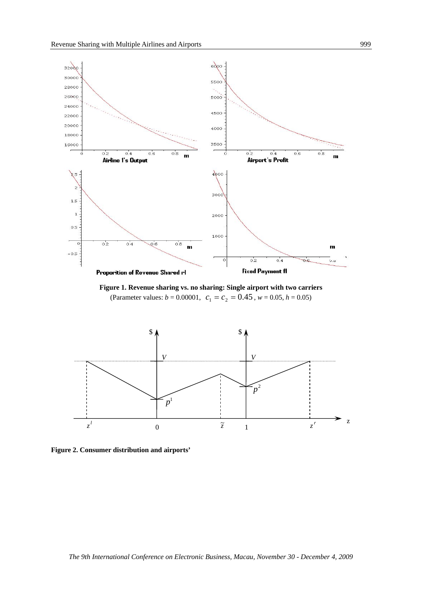

**Figure 1. Revenue sharing vs. no sharing: Single airport with two carriers**  (Parameter values:  $b = 0.00001$ ,  $c_1 = c_2 = 0.45$ ,  $w = 0.05$ ,  $h = 0.05$ )



**Figure 2. Consumer distribution and airports'**